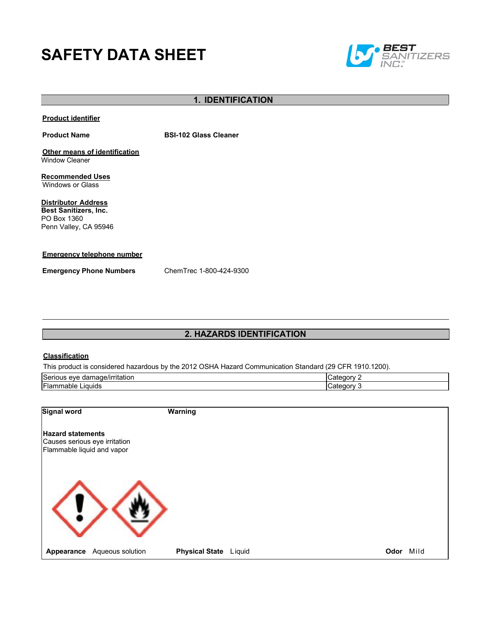# **SAFETY DATA SHEET**



# **1. IDENTIFICATION**

#### **Product identifier**

**Product Name BSI-102 Glass Cleaner** 

**Other means of identification** Window Cleaner

**Recommended Uses** Windows or Glass

**Distributor Address Best Sanitizers, Inc.**  PO Box 1360 Penn Valley, CA 95946

#### **Emergency telephone number**

**Emergency Phone Numbers** ChemTrec 1-800-424-9300

# **2. HAZARDS IDENTIFICATION**

#### **Classification**

This product is considered hazardous by the 2012 OSHA Hazard Communication Standard (29 CFR 1910.1200).

| ∽<br>. .<br>≀mage/irritation<br>Serious<br>eve<br>dar | eaor<br>M |  |
|-------------------------------------------------------|-----------|--|
| --<br>Liquids<br>-lammable .                          | aon<br>v  |  |

| Signal word                                                                             |                  | Warning               |        |           |
|-----------------------------------------------------------------------------------------|------------------|-----------------------|--------|-----------|
| <b>Hazard statements</b><br>Causes serious eye irritation<br>Flammable liquid and vapor |                  |                       |        |           |
|                                                                                         |                  |                       |        |           |
| Appearance                                                                              | Aqueous solution | <b>Physical State</b> | Liquid | Odor Mild |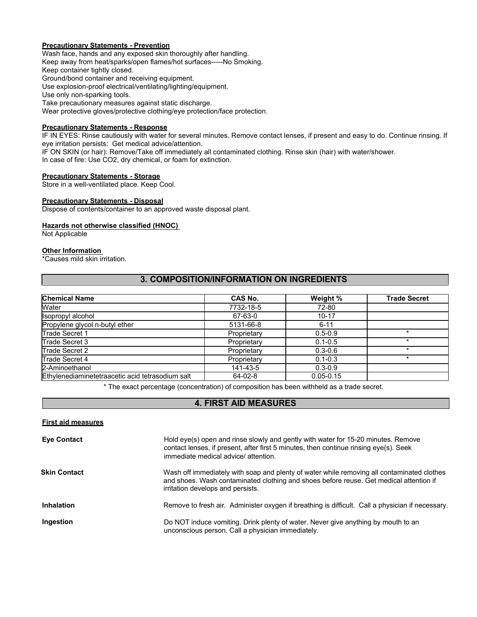#### **Precautionary Statements - Prevention**

Wash face, hands and any exposed skin thoroughly after handling. Keep away from heat/sparks/open flames/hot surfaces-----No Smoking. Keep container tightly closed. Ground/bond container and receiving equipment. Use explosion-proof electrical/ventilating/lighting/equipment. Use only non-sparking tools. Take precautionary measures against static discharge. Wear protective gloves/protective clothing/eye protection/face protection.

# **Precautionary Statements - Response**

IF IN EYES: Rinse cautiously with water for several minutes. Remove contact lenses, if present and easy to do. Continue rinsing. If eye irritation persists: Get medical advice/attention.

IF ON SKIN (or hair): Remove/Take off immediately all contaminated clothing. Rinse skin (hair) with water/shower.

In case of fire: Use CO2, dry chemical, or foam for extinction.

#### **Precautionary Statements - Storage**

Store in a well-ventilated place. Keep Cool.

#### **Precautionary Statements - Disposal**

Dispose of contents/container to an approved waste disposal plant.

#### **Hazards not otherwise classified (HNOC)**

Not Applicable

#### **Other Information**

**First aid measures**

\*Causes mild skin irritation.

# **3. COMPOSITION/INFORMATION ON INGREDIENTS**

| <b>Chemical Name</b>                             | CAS No.       | Weight %      | <b>Trade Secret</b> |
|--------------------------------------------------|---------------|---------------|---------------------|
| Water                                            | 7732-18-5     | 72-80         |                     |
| Isopropyl alcohol                                | 67-63-0       | $10 - 17$     |                     |
| Propylene glycol n-butyl ether                   | 5131-66-8     | $6 - 11$      |                     |
| Trade Secret 1                                   | Proprietary   | $0.5 - 0.9$   |                     |
| Trade Secret 3                                   | Proprietary   | $0.1 - 0.5$   |                     |
| Trade Secret 2                                   | Proprietary   | $0.3 - 0.6$   |                     |
| Trade Secret 4                                   | Proprietary   | $0.1 - 0.3$   |                     |
| 2-Aminoethanol                                   | 141-43-5      | $0.3 - 0.9$   |                     |
| Ethylenediaminetetraacetic acid tetrasodium salt | $64 - 02 - 8$ | $0.05 - 0.15$ |                     |

\* The exact percentage (concentration) of composition has been withheld as a trade secret.

# **4. FIRST AID MEASURES**

| <b>Eye Contact</b>  | Hold eye(s) open and rinse slowly and gently with water for 15-20 minutes. Remove<br>contact lenses, if present, after first 5 minutes, then continue rinsing eye(s). Seek<br>immediate medical advice/attention.         |
|---------------------|---------------------------------------------------------------------------------------------------------------------------------------------------------------------------------------------------------------------------|
| <b>Skin Contact</b> | Wash off immediately with soap and plenty of water while removing all contaminated clothes<br>and shoes. Wash contaminated clothing and shoes before reuse. Get medical attention if<br>irritation develops and persists. |
| <b>Inhalation</b>   | Remove to fresh air. Administer oxygen if breathing is difficult. Call a physician if necessary.                                                                                                                          |
| Ingestion           | Do NOT induce vomiting. Drink plenty of water. Never give anything by mouth to an<br>unconscious person. Call a physician immediately.                                                                                    |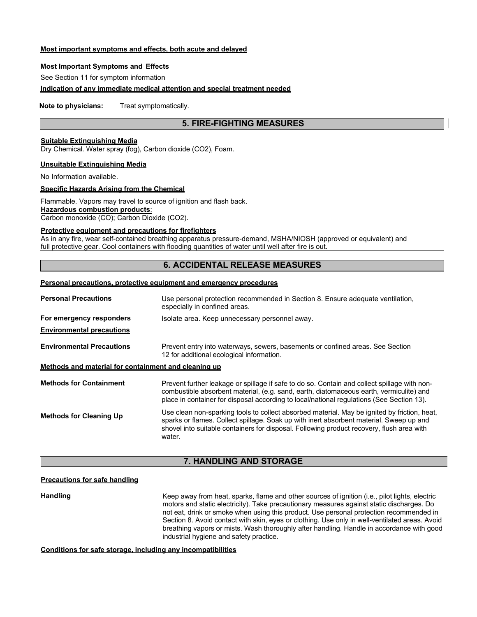#### **Most important symptoms and effects, both acute and delayed**

#### **Most Important Symptoms and Effects**

See Section 11 for symptom information

#### **Indication of any immediate medical attention and special treatment needed**

**Note to physicians:** Treat symptomatically.

# **5. FIRE-FIGHTING MEASURES**

## **Suitable Extinguishing Media**

Dry Chemical. Water spray (fog), Carbon dioxide (CO2), Foam.

#### **Unsuitable Extinguishing Media**

No Information available.

# **Specific Hazards Arising from the Chemical**

Flammable. Vapors may travel to source of ignition and flash back. **Hazardous combustion products**:

Carbon monoxide (CO); Carbon Dioxide (CO2).

#### **Protective equipment and precautions for firefighters**

As in any fire, wear self-contained breathing apparatus pressure-demand, MSHA/NIOSH (approved or equivalent) and full protective gear. Cool containers with flooding quantities of water until well after fire is out.

# **6. ACCIDENTAL RELEASE MEASURES**

## **Personal precautions, protective equipment and emergency procedures**

| <b>Personal Precautions</b>                          | Use personal protection recommended in Section 8. Ensure adequate ventilation,<br>especially in confined areas.                                                                                                                                                                                |
|------------------------------------------------------|------------------------------------------------------------------------------------------------------------------------------------------------------------------------------------------------------------------------------------------------------------------------------------------------|
| For emergency responders                             | Isolate area. Keep unnecessary personnel away.                                                                                                                                                                                                                                                 |
| <b>Environmental precautions</b>                     |                                                                                                                                                                                                                                                                                                |
| <b>Environmental Precautions</b>                     | Prevent entry into waterways, sewers, basements or confined areas. See Section<br>12 for additional ecological information.                                                                                                                                                                    |
| Methods and material for containment and cleaning up |                                                                                                                                                                                                                                                                                                |
| <b>Methods for Containment</b>                       | Prevent further leakage or spillage if safe to do so. Contain and collect spillage with non-<br>combustible absorbent material, (e.g. sand, earth, diatomaceous earth, vermiculite) and<br>place in container for disposal according to local/national regulations (See Section 13).           |
| <b>Methods for Cleaning Up</b>                       | Use clean non-sparking tools to collect absorbed material. May be ignited by friction, heat,<br>sparks or flames. Collect spillage. Soak up with inert absorbent material. Sweep up and<br>shovel into suitable containers for disposal. Following product recovery, flush area with<br>water. |

#### **7. HANDLING AND STORAGE**

# **Precautions for safe handling**

**Handling** Keep away from heat, sparks, flame and other sources of ignition (i.e., pilot lights, electric motors and static electricity). Take precautionary measures against static discharges. Do not eat, drink or smoke when using this product. Use personal protection recommended in Section 8. Avoid contact with skin, eyes or clothing. Use only in well-ventilated areas. Avoid breathing vapors or mists. Wash thoroughly after handling. Handle in accordance with good industrial hygiene and safety practice.

#### **Conditions for safe storage, including any incompatibilities**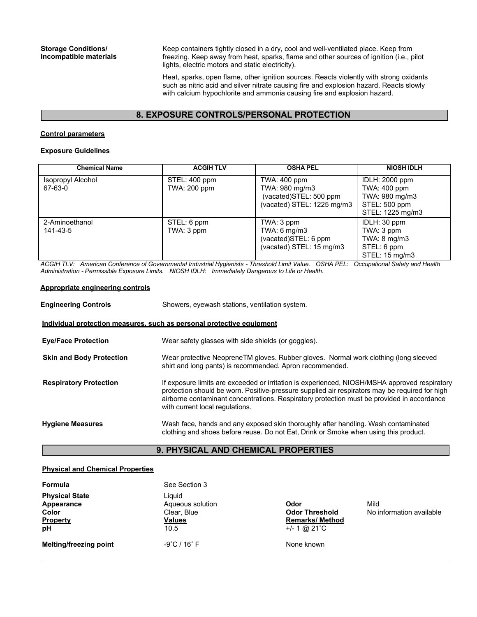Keep containers tightly closed in a dry, cool and well-ventilated place. Keep from freezing. Keep away from heat, sparks, flame and other sources of ignition (i.e., pilot lights, electric motors and static electricity).

Heat, sparks, open flame, other ignition sources. Reacts violently with strong oxidants such as nitric acid and silver nitrate causing fire and explosion hazard. Reacts slowly with calcium hypochlorite and ammonia causing fire and explosion hazard.

# **8. EXPOSURE CONTROLS/PERSONAL PROTECTION**

#### **Control parameters**

#### **Exposure Guidelines**

| <b>Chemical Name</b>         | <b>ACGIH TLV</b>                     | <b>OSHA PEL</b>                                                                        | <b>NIOSH IDLH</b>                                                                            |
|------------------------------|--------------------------------------|----------------------------------------------------------------------------------------|----------------------------------------------------------------------------------------------|
| Isopropyl Alcohol<br>67-63-0 | STEL: 400 ppm<br><b>TWA: 200 ppm</b> | TWA: 400 ppm<br>TWA: 980 mg/m3<br>(vacated)STEL: 500 ppm<br>(vacated) STEL: 1225 mg/m3 | IDLH: 2000 ppm<br><b>TWA: 400 ppm</b><br>TWA: 980 mg/m3<br>STEL: 500 ppm<br>STEL: 1225 mg/m3 |
| 2-Aminoethanol<br>141-43-5   | STEL: 6 ppm<br>TWA: 3 ppm            | TWA: 3 ppm<br>TWA: 6 mg/m3<br>(vacated)STEL: 6 ppm<br>(vacated) STEL: 15 mg/m3         | IDLH: 30 ppm<br>TWA: 3 ppm<br>TWA: $8 \text{ mg/m}$ 3<br>STEL: 6 ppm<br>STEL: 15 mg/m3       |

*ACGIH TLV: American Conference of Governmental Industrial Hygienists - Threshold Limit Value. OSHA PEL: Occupational Safety and Health Administration - Permissible Exposure Limits. NIOSH IDLH: Immediately Dangerous to Life or Health.*

#### **Appropriate engineering controls**

| <b>Engineering Controls</b>                                           | Showers, eyewash stations, ventilation system.                                                                                                                                                                                                                                                                                   |  |  |
|-----------------------------------------------------------------------|----------------------------------------------------------------------------------------------------------------------------------------------------------------------------------------------------------------------------------------------------------------------------------------------------------------------------------|--|--|
| Individual protection measures, such as personal protective equipment |                                                                                                                                                                                                                                                                                                                                  |  |  |
| <b>Eye/Face Protection</b>                                            | Wear safety glasses with side shields (or goggles).                                                                                                                                                                                                                                                                              |  |  |
| <b>Skin and Body Protection</b>                                       | Wear protective NeopreneTM gloves. Rubber gloves. Normal work clothing (long sleeved<br>shirt and long pants) is recommended. Apron recommended.                                                                                                                                                                                 |  |  |
| <b>Respiratory Protection</b>                                         | If exposure limits are exceeded or irritation is experienced, NIOSH/MSHA approved respiratory<br>protection should be worn. Positive-pressure supplied air respirators may be required for high<br>airborne contaminant concentrations. Respiratory protection must be provided in accordance<br>with current local regulations. |  |  |
| <b>Hygiene Measures</b>                                               | Wash face, hands and any exposed skin thoroughly after handling. Wash contaminated<br>clothing and shoes before reuse. Do not Eat, Drink or Smoke when using this product.                                                                                                                                                       |  |  |

# **9. PHYSICAL AND CHEMICAL PROPERTIES**

#### **Physical and Chemical Properties**

| Formula                                                        | See Section 3                                                      |                                                                            |                                  |
|----------------------------------------------------------------|--------------------------------------------------------------------|----------------------------------------------------------------------------|----------------------------------|
| <b>Physical State</b><br>Appearance<br>Color<br>Property<br>pH | Liauid<br>Aqueous solution<br>Clear, Blue<br><b>Values</b><br>10.5 | Odor<br><b>Odor Threshold</b><br><b>Remarks/ Method</b><br>$+/- 1$ @ 21 °C | Mild<br>No information available |
| Melting/freezing point                                         | $-9^{\circ}$ C / 16 $^{\circ}$ F                                   | None known                                                                 |                                  |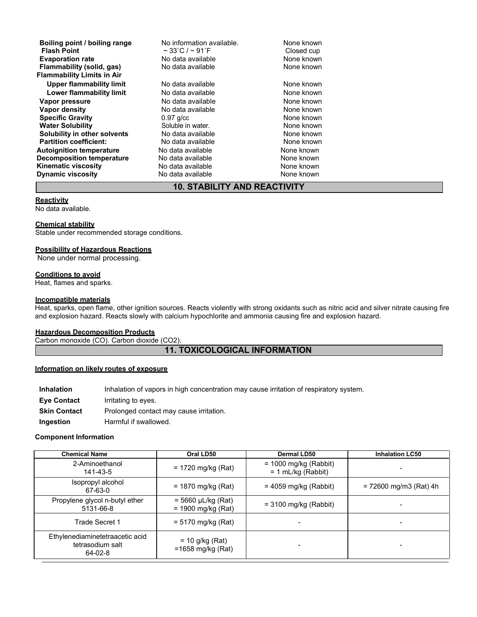| Boiling point / boiling range<br><b>Flash Point</b> | No information available.<br>$\sim$ 33°C / $\sim$ 91°F | None known<br>Closed cup |
|-----------------------------------------------------|--------------------------------------------------------|--------------------------|
| <b>Evaporation rate</b>                             | No data available                                      | None known               |
| Flammability (solid, gas)                           | No data available                                      | None known               |
| <b>Flammability Limits in Air</b>                   |                                                        |                          |
| Upper flammability limit                            | No data available                                      | None known               |
| Lower flammability limit                            | No data available                                      | None known               |
| Vapor pressure                                      | No data available                                      | None known               |
| Vapor density                                       | No data available                                      | None known               |
| <b>Specific Gravity</b>                             | $0.97$ g/cc                                            | None known               |
| <b>Water Solubility</b>                             | Soluble in water.                                      | None known               |
| Solubility in other solvents                        | No data available                                      | None known               |
| <b>Partition coefficient:</b>                       | No data available                                      | None known               |
| <b>Autoignition temperature</b>                     | No data available                                      | None known               |
| Decomposition temperature                           | No data available                                      | None known               |
| <b>Kinematic viscosity</b>                          | No data available                                      | None known               |
| <b>Dynamic viscosity</b>                            | No data available                                      | None known               |

# **10. STABILITY AND REACTIVITY**

#### **Reactivity**

No data available.

#### **Chemical stability**

Stable under recommended storage conditions.

#### **Possibility of Hazardous Reactions**

None under normal processing.

#### **Conditions to avoid**

Heat, flames and sparks.

#### **Incompatible materials**

Heat, sparks, open flame, other ignition sources. Reacts violently with strong oxidants such as nitric acid and silver nitrate causing fire and explosion hazard. Reacts slowly with calcium hypochlorite and ammonia causing fire and explosion hazard.

#### **Hazardous Decomposition Products**

Carbon monoxide (CO). Carbon dioxide (CO2).

# **11. TOXICOLOGICAL INFORMATION**

## **Information on likely routes of exposure**

| <b>Inhalation</b>   | Inhalation of vapors in high concentration may cause irritation of respiratory system. |
|---------------------|----------------------------------------------------------------------------------------|
| <b>Eve Contact</b>  | Irritating to eyes.                                                                    |
| <b>Skin Contact</b> | Prolonged contact may cause irritation.                                                |
| Ingestion           | Harmful if swallowed.                                                                  |

#### **Component Information**

| <b>Chemical Name</b>                                           | Oral LD50                                       | <b>Dermal LD50</b>                              | <b>Inhalation LC50</b>   |
|----------------------------------------------------------------|-------------------------------------------------|-------------------------------------------------|--------------------------|
| 2-Aminoethanol<br>141-43-5                                     | $= 1720$ mg/kg (Rat)                            | $= 1000$ mg/kg (Rabbit)<br>$= 1$ mL/kg (Rabbit) |                          |
| Isopropyl alcohol<br>67-63-0                                   | $= 1870$ mg/kg (Rat)                            | $= 4059$ mg/kg (Rabbit)                         | $= 72600$ mg/m3 (Rat) 4h |
| Propylene glycol n-butyl ether<br>5131-66-8                    | $= 5660 \mu L/kg (Rat)$<br>$= 1900$ mg/kg (Rat) | $=$ 3100 mg/kg (Rabbit)                         |                          |
| Trade Secret 1                                                 | $= 5170$ mg/kg (Rat)                            |                                                 |                          |
| Ethylenediaminetetraacetic acid<br>tetrasodium salt<br>64-02-8 | $= 10$ g/kg (Rat)<br>$=1658$ mg/kg (Rat)        |                                                 |                          |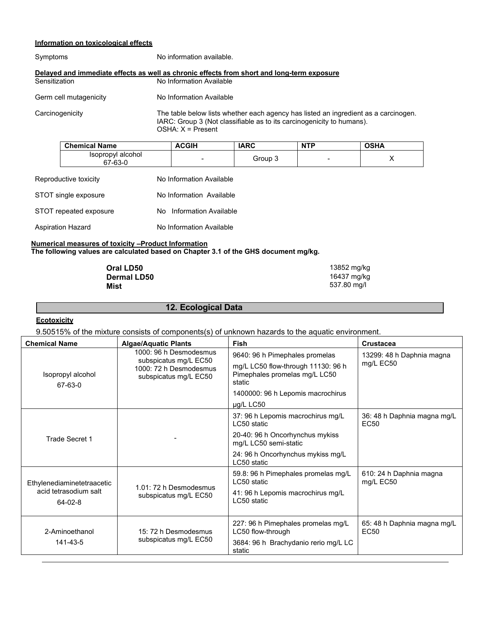## **Information on toxicological effects**

| Symptoms               | No information available.                                                                                                                                    |
|------------------------|--------------------------------------------------------------------------------------------------------------------------------------------------------------|
| Sensitization          | Delayed and immediate effects as well as chronic effects from short and long-term exposure<br>No Information Available                                       |
| Germ cell mutagenicity | No Information Available                                                                                                                                     |
| Carcinogenicity        | The table below lists whether each agency has listed an ingredient as a carcinogen.<br>IARC: Group 3 (Not classifiable as to its carcinogenicity to humans). |

OSHA: X = Present

| <b>Chemical Name</b>         | ACGIH                    | <b>IARC</b> | <b>NTP</b> | OSHA |
|------------------------------|--------------------------|-------------|------------|------|
| Isopropyl alcohol<br>67-63-0 | $\overline{\phantom{a}}$ | Group 3     | -          |      |

| Reproductive toxicity    | No Information Available |
|--------------------------|--------------------------|
| STOT single exposure     | No Information Available |
| STOT repeated exposure   | No Information Available |
| <b>Aspiration Hazard</b> | No Information Available |

#### **Numerical measures of toxicity –Product Information The following values are calculated based on Chapter 3.1 of the GHS document mg/kg.**

| Oral LD50          | 13852 mg/kg |
|--------------------|-------------|
| <b>Dermal LD50</b> | 16437 mg/kg |
| Mist               | 537.80 mg/l |

# **12. Ecological Data**

# **Ecotoxicity**

9.50515% of the mixture consists of components(s) of unknown hazards to the aquatic environment.

| <b>Chemical Name</b>                   | <b>Algae/Aquatic Plants</b>                     | Fish                                                                          | <b>Crustacea</b>                                |  |
|----------------------------------------|-------------------------------------------------|-------------------------------------------------------------------------------|-------------------------------------------------|--|
|                                        | 1000: 96 h Desmodesmus<br>subspicatus mg/L EC50 | 9640: 96 h Pimephales promelas                                                | 13299: 48 h Daphnia magna                       |  |
| Isopropyl alcohol<br>67-63-0           | 1000: 72 h Desmodesmus<br>subspicatus mg/L EC50 | mg/L LC50 flow-through 11130: 96 h<br>Pimephales promelas mg/L LC50<br>static | mg/L EC50                                       |  |
|                                        |                                                 | 1400000: 96 h Lepomis macrochirus                                             |                                                 |  |
|                                        |                                                 | µg/L LC50                                                                     |                                                 |  |
|                                        |                                                 | 37: 96 h Lepomis macrochirus mg/L<br>LC50 static                              | 36: 48 h Daphnia magna mg/L<br>EC <sub>50</sub> |  |
| Trade Secret 1                         |                                                 | 20-40: 96 h Oncorhynchus mykiss<br>mg/L LC50 semi-static                      |                                                 |  |
|                                        |                                                 | 24: 96 h Oncorhynchus mykiss mg/L<br>LC50 static                              |                                                 |  |
| Ethylenediaminetetraacetic             | 1.01: 72 h Desmodesmus                          | 59.8: 96 h Pimephales promelas mg/L<br>LC50 static                            | 610: 24 h Daphnia magna<br>mg/L EC50            |  |
| acid tetrasodium salt<br>$64 - 02 - 8$ | subspicatus mg/L EC50                           | 41: 96 h Lepomis macrochirus mg/L<br>LC50 static                              |                                                 |  |
| 2-Aminoethanol                         | 15: 72 h Desmodesmus                            | 227: 96 h Pimephales promelas mg/L<br>LC50 flow-through                       | 65: 48 h Daphnia magna mg/L<br>EC50             |  |
| 141-43-5                               | subspicatus mg/L EC50                           | 3684: 96 h Brachydanio rerio mg/L LC<br>static                                |                                                 |  |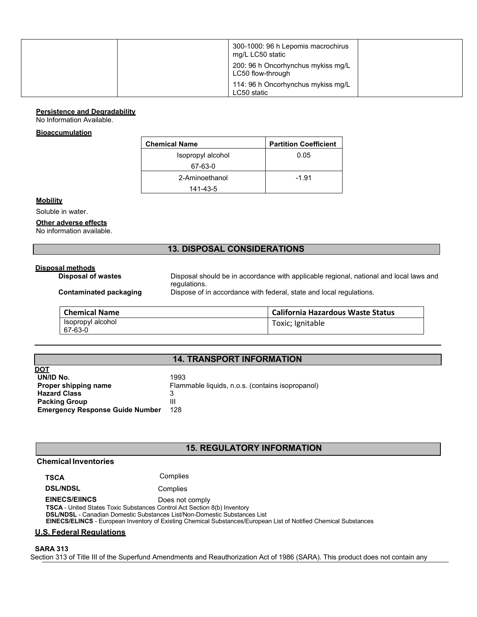| 300-1000: 96 h Lepomis macrochirus<br>mg/L LC50 static  |  |
|---------------------------------------------------------|--|
| 200: 96 h Oncorhynchus mykiss mg/L<br>LC50 flow-through |  |
| 114: 96 h Oncorhynchus mykiss mg/L<br>LC50 static       |  |

#### **Persistence and Degradability**

No Information Available.

#### **Bioaccumulation**

| <b>Chemical Name</b> | <b>Partition Coefficient</b> |
|----------------------|------------------------------|
| Isopropyl alcohol    | 0.05                         |
| 67-63-0              |                              |
| 2-Aminoethanol       | $-1.91$                      |
| 141-43-5             |                              |

#### **Mobility**

Soluble in water.

#### **Other adverse effects**

No information available.

# **13. DISPOSAL CONSIDERATIONS**

# **Disposal methods**

Disposal should be in accordance with applicable regional, national and local laws and regulations. **Contaminated packaging** Dispose of in accordance with federal, state and local regulations.

| <b>Chemical Name</b>         | <b>California Hazardous Waste Status</b> |  |  |
|------------------------------|------------------------------------------|--|--|
| Isopropyl alcohol<br>67-63-0 | Toxic; Ignitable                         |  |  |

# **14. TRANSPORT INFORMATION**

| <b>DOT</b>                             |                                                  |
|----------------------------------------|--------------------------------------------------|
| UN/ID No.                              | 1993                                             |
| Proper shipping name                   | Flammable liquids, n.o.s. (contains isopropanol) |
| <b>Hazard Class</b>                    | 3                                                |
| <b>Packing Group</b>                   | Ш                                                |
| <b>Emergency Response Guide Number</b> | 128                                              |
|                                        |                                                  |

# **15. REGULATORY INFORMATION**

#### **Chemical Inventories**

**TSCA** Complies

**DSL/NDSL** Complies

**EINECS/EIINCS** Does not comply

**TSCA** - United States Toxic Substances Control Act Section 8(b) Inventory **DSL/NDSL** - Canadian Domestic Substances List/Non-Domestic Substances List

**EINECS/ELINCS** - European Inventory of Existing Chemical Substances/European List of Notified Chemical Substances

#### **U.S. Federal Regulations**

**SARA 313**

Section 313 of Title III of the Superfund Amendments and Reauthorization Act of 1986 (SARA). This product does not contain any